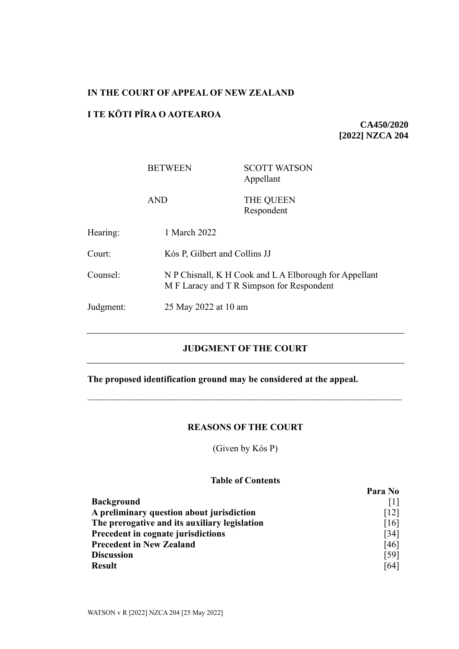## **IN THE COURT OF APPEAL OF NEW ZEALAND**

## **I TE KŌTI PĪRA O AOTEAROA**

**CA450/2020 [2022] NZCA 204**

|           | <b>BETWEEN</b>       | <b>SCOTT WATSON</b><br>Appellant                                                                                                     |  |
|-----------|----------------------|--------------------------------------------------------------------------------------------------------------------------------------|--|
|           | <b>AND</b>           | THE QUEEN<br>Respondent                                                                                                              |  |
| Hearing:  | 1 March 2022         |                                                                                                                                      |  |
| Court:    |                      | Kós P, Gilbert and Collins JJ<br>N P Chisnall, K H Cook and L A Elborough for Appellant<br>M F Laracy and T R Simpson for Respondent |  |
| Counsel:  |                      |                                                                                                                                      |  |
| Judgment: | 25 May 2022 at 10 am |                                                                                                                                      |  |

# **JUDGMENT OF THE COURT**

# **The proposed identification ground may be considered at the appeal.**

# **REASONS OF THE COURT**

(Given by Kós P)

### **Table of Contents**

|                                               | Para No            |
|-----------------------------------------------|--------------------|
| <b>Background</b>                             |                    |
| A preliminary question about jurisdiction     | $\lceil 12 \rceil$ |
| The prerogative and its auxiliary legislation | [16]               |
| Precedent in cognate jurisdictions            | $\left[34\right]$  |
| <b>Precedent in New Zealand</b>               | [46]               |
| <b>Discussion</b>                             | $\lceil 59 \rceil$ |
| <b>Result</b>                                 | [64]               |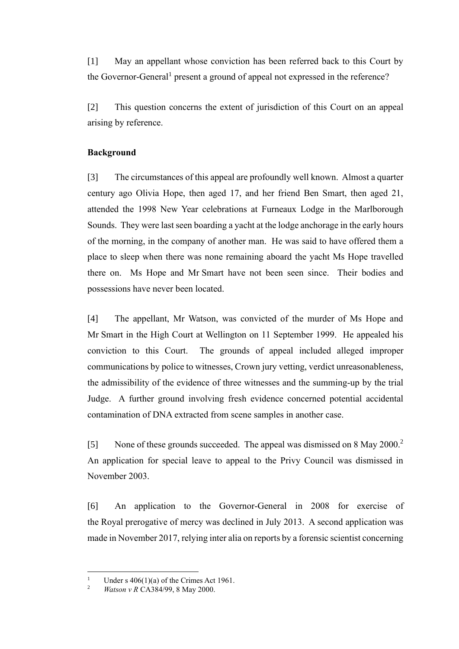<span id="page-1-0"></span>[1] May an appellant whose conviction has been referred back to this Court by the Governor-General<sup>1</sup> present a ground of appeal not expressed in the reference?

[2] This question concerns the extent of jurisdiction of this Court on an appeal arising by reference.

### **Background**

[3] The circumstances of this appeal are profoundly well known. Almost a quarter century ago Olivia Hope, then aged 17, and her friend Ben Smart, then aged 21, attended the 1998 New Year celebrations at Furneaux Lodge in the Marlborough Sounds. They were last seen boarding a yacht at the lodge anchorage in the early hours of the morning, in the company of another man. He was said to have offered them a place to sleep when there was none remaining aboard the yacht Ms Hope travelled there on. Ms Hope and Mr Smart have not been seen since. Their bodies and possessions have never been located.

[4] The appellant, Mr Watson, was convicted of the murder of Ms Hope and Mr Smart in the High Court at Wellington on 11 September 1999. He appealed his conviction to this Court. The grounds of appeal included alleged improper communications by police to witnesses, Crown jury vetting, verdict unreasonableness, the admissibility of the evidence of three witnesses and the summing-up by the trial Judge. A further ground involving fresh evidence concerned potential accidental contamination of DNA extracted from scene samples in another case.

<span id="page-1-1"></span>[5] None of these grounds succeeded. The appeal was dismissed on 8 May 2000.<sup>2</sup> An application for special leave to appeal to the Privy Council was dismissed in November 2003.

[6] An application to the Governor-General in 2008 for exercise of the Royal prerogative of mercy was declined in July 2013. A second application was made in November 2017, relying inter alia on reports by a forensic scientist concerning

<sup>&</sup>lt;sup>1</sup> Under s 406(1)(a) of the Crimes Act 1961.

<sup>2</sup> *Watson v R* CA384/99, 8 May 2000.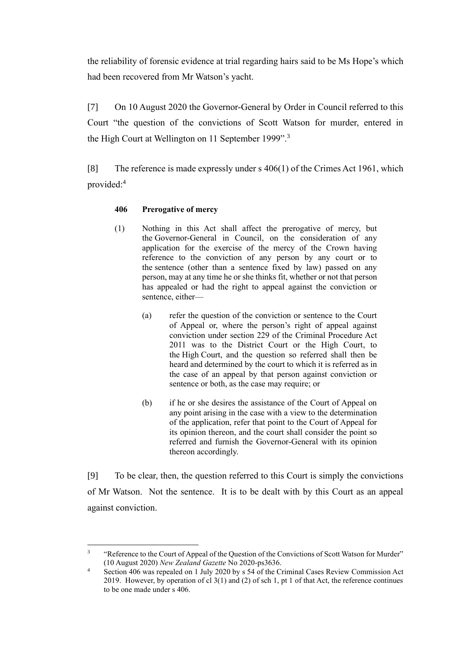the reliability of forensic evidence at trial regarding hairs said to be Ms Hope's which had been recovered from Mr Watson's yacht.

[7] On 10 August 2020 the Governor-General by Order in Council referred to this Court "the question of the convictions of Scott Watson for murder, entered in the High Court at Wellington on 11 September 1999".<sup>3</sup>

[8] The reference is made expressly under s 406(1) of the Crimes Act 1961, which provided: 4

# <span id="page-2-0"></span>**406 Prerogative of mercy**

- (1) Nothing in this Act shall affect the prerogative of mercy, but the Governor-General in Council, on the consideration of any application for the exercise of the mercy of the Crown having reference to the conviction of any person by any court or to the sentence (other than a sentence fixed by law) passed on any person, may at any time he or she thinks fit, whether or not that person has appealed or had the right to appeal against the conviction or sentence, either—
	- (a) refer the question of the conviction or sentence to the Court of Appeal or, where the person's right of appeal against conviction under section 229 of the Criminal Procedure Act 2011 was to the District Court or the High Court, to the High Court, and the question so referred shall then be heard and determined by the court to which it is referred as in the case of an appeal by that person against conviction or sentence or both, as the case may require; or
	- (b) if he or she desires the assistance of the Court of Appeal on any point arising in the case with a view to the determination of the application, refer that point to the Court of Appeal for its opinion thereon, and the court shall consider the point so referred and furnish the Governor-General with its opinion thereon accordingly.

[9] To be clear, then, the question referred to this Court is simply the convictions of Mr Watson. Not the sentence. It is to be dealt with by this Court as an appeal against conviction.

<sup>3</sup> "Reference to the Court of Appeal of the Question of the Convictions of Scott Watson for Murder" (10 August 2020) *New Zealand Gazette* No 2020-ps3636.

<sup>&</sup>lt;sup>4</sup> Section 406 was repealed on 1 July 2020 by s 54 of the Criminal Cases Review Commission Act 2019. However, by operation of cl 3(1) and (2) of sch 1, pt 1 of that Act, the reference continues to be one made under s 406.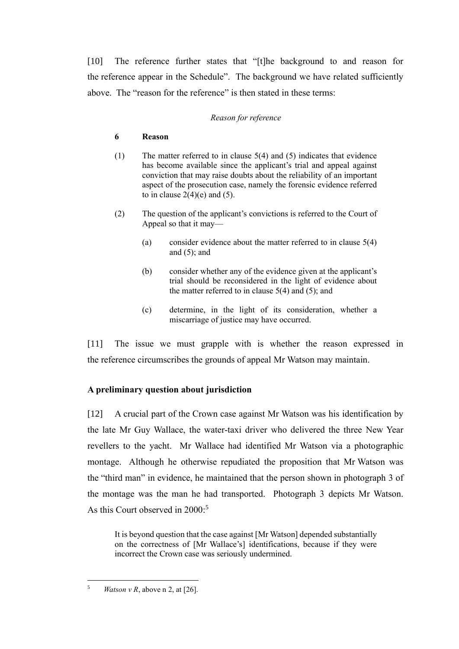[10] The reference further states that "[t]he background to and reason for the reference appear in the Schedule". The background we have related sufficiently above. The "reason for the reference" is then stated in these terms:

#### *Reason for reference*

#### **6 Reason**

- (1) The matter referred to in clause 5(4) and (5) indicates that evidence has become available since the applicant's trial and appeal against conviction that may raise doubts about the reliability of an important aspect of the prosecution case, namely the forensic evidence referred to in clause  $2(4)(e)$  and  $(5)$ .
- (2) The question of the applicant's convictions is referred to the Court of Appeal so that it may—
	- (a) consider evidence about the matter referred to in clause 5(4) and  $(5)$ ; and
	- (b) consider whether any of the evidence given at the applicant's trial should be reconsidered in the light of evidence about the matter referred to in clause  $5(4)$  and  $(5)$ ; and
	- (c) determine, in the light of its consideration, whether a miscarriage of justice may have occurred.

[11] The issue we must grapple with is whether the reason expressed in the reference circumscribes the grounds of appeal Mr Watson may maintain.

# **A preliminary question about jurisdiction**

<span id="page-3-0"></span>[12] A crucial part of the Crown case against Mr Watson was his identification by the late Mr Guy Wallace, the water-taxi driver who delivered the three New Year revellers to the yacht. Mr Wallace had identified Mr Watson via a photographic montage. Although he otherwise repudiated the proposition that Mr Watson was the "third man" in evidence, he maintained that the person shown in photograph 3 of the montage was the man he had transported. Photograph 3 depicts Mr Watson. As this Court observed in 2000: 5

It is beyond question that the case against [Mr Watson] depended substantially on the correctness of [Mr Wallace's] identifications, because if they were incorrect the Crown case was seriously undermined.

<sup>&</sup>lt;sup>5</sup> *Watson v R*, above n [2,](#page-1-1) at [26].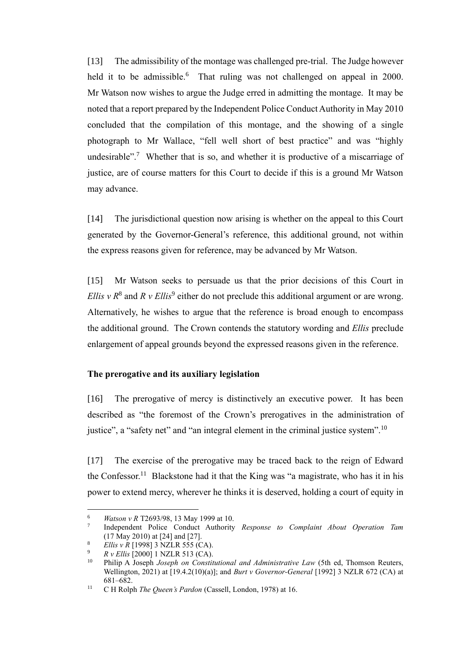[13] The admissibility of the montage was challenged pre-trial. The Judge however held it to be admissible.<sup>6</sup> That ruling was not challenged on appeal in 2000. Mr Watson now wishes to argue the Judge erred in admitting the montage. It may be noted that a report prepared by the Independent Police Conduct Authority in May 2010 concluded that the compilation of this montage, and the showing of a single photograph to Mr Wallace, "fell well short of best practice" and was "highly undesirable".<sup>7</sup> Whether that is so, and whether it is productive of a miscarriage of justice, are of course matters for this Court to decide if this is a ground Mr Watson may advance.

[14] The jurisdictional question now arising is whether on the appeal to this Court generated by the Governor-General's reference, this additional ground, not within the express reasons given for reference, may be advanced by Mr Watson.

<span id="page-4-3"></span><span id="page-4-2"></span>[15] Mr Watson seeks to persuade us that the prior decisions of this Court in *Ellis*  $v R<sup>8</sup>$  and  $R v$  *Ellis*<sup>9</sup> either do not preclude this additional argument or are wrong. Alternatively, he wishes to argue that the reference is broad enough to encompass the additional ground. The Crown contends the statutory wording and *Ellis* preclude enlargement of appeal grounds beyond the expressed reasons given in the reference.

#### **The prerogative and its auxiliary legislation**

<span id="page-4-0"></span>[16] The prerogative of mercy is distinctively an executive power. It has been described as "the foremost of the Crown's prerogatives in the administration of justice", a "safety net" and "an integral element in the criminal justice system".<sup>10</sup>

<span id="page-4-1"></span>[17] The exercise of the prerogative may be traced back to the reign of Edward the Confessor.<sup>11</sup> Blackstone had it that the King was "a magistrate, who has it in his power to extend mercy, wherever he thinks it is deserved, holding a court of equity in

<sup>6</sup> *Watson v R* T2693/98, 13 May 1999 at 10.

<sup>7</sup> Independent Police Conduct Authority *Response to Complaint About Operation Tam* (17 May 2010) at [24] and [27].

<sup>8</sup> *Ellis v R* [1998] 3 NZLR 555 (CA).

<sup>&</sup>lt;sup>9</sup> *R v Ellis* [2000] 1 NZLR 513 (CA).

<sup>10</sup> Philip A Joseph *Joseph on Constitutional and Administrative Law* (5th ed, Thomson Reuters, Wellington, 2021) at [19.4.2(10)(a)]; and *Burt v Governor-General* [1992] 3 NZLR 672 (CA) at 681–682.

<sup>11</sup> C H Rolph *The Queen's Pardon* (Cassell, London, 1978) at 16.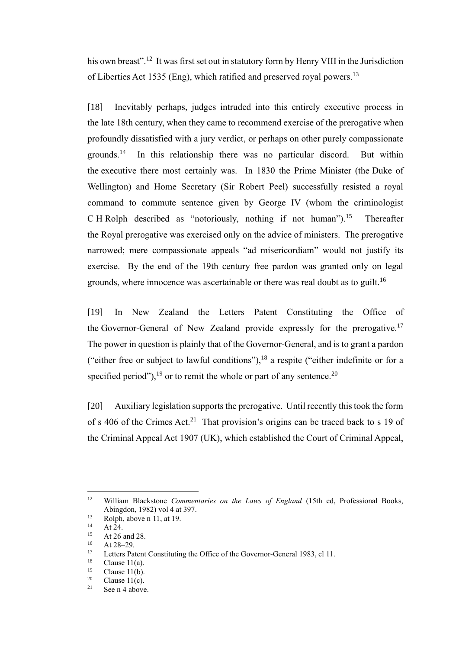his own breast".<sup>12</sup> It was first set out in statutory form by Henry VIII in the Jurisdiction of Liberties Act 1535 (Eng), which ratified and preserved royal powers.<sup>13</sup>

[18] Inevitably perhaps, judges intruded into this entirely executive process in the late 18th century, when they came to recommend exercise of the prerogative when profoundly dissatisfied with a jury verdict, or perhaps on other purely compassionate grounds.<sup>14</sup> In this relationship there was no particular discord. But within the executive there most certainly was. In 1830 the Prime Minister (the Duke of Wellington) and Home Secretary (Sir Robert Peel) successfully resisted a royal command to commute sentence given by George IV (whom the criminologist C H Rolph described as "notoriously, nothing if not human").<sup>15</sup> Thereafter the Royal prerogative was exercised only on the advice of ministers. The prerogative narrowed; mere compassionate appeals "ad misericordiam" would not justify its exercise. By the end of the 19th century free pardon was granted only on legal grounds, where innocence was ascertainable or there was real doubt as to guilt.<sup>16</sup>

[19] In New Zealand the Letters Patent Constituting the Office of the Governor-General of New Zealand provide expressly for the prerogative.<sup>17</sup> The power in question is plainly that of the Governor-General, and is to grant a pardon ("either free or subject to lawful conditions"), $^{18}$  a respite ("either indefinite or for a specified period"),  $^{19}$  or to remit the whole or part of any sentence.<sup>20</sup>

[20] Auxiliary legislation supports the prerogative. Until recently this took the form of s 406 of the Crimes Act.<sup>21</sup> That provision's origins can be traced back to s 19 of the Criminal Appeal Act 1907 (UK), which established the Court of Criminal Appeal,

<sup>12</sup> William Blackstone *Commentaries on the Laws of England* (15th ed, Professional Books, Abingdon, 1982) vol 4 at 397.

 $13$  Rolph, above n [11,](#page-4-1) at 19.

 $14$  At 24.<br> $15$  At 26.

<sup>&</sup>lt;sup>15</sup> At 26 and 28.

 $16$  At 28–29.

Letters Patent Constituting the Office of the Governor-General 1983, cl 11.

 $18$  Clause 11(a).

 $\frac{19}{20}$  Clause 11(b).

 $\frac{20}{21}$  Clause 11(c).

See n [4](#page-2-0) above.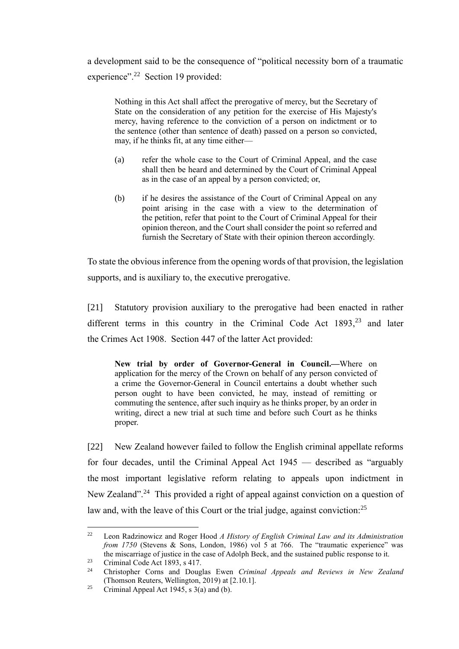a development said to be the consequence of "political necessity born of a traumatic experience".<sup>22</sup> Section 19 provided:

Nothing in this Act shall affect the prerogative of mercy, but the Secretary of State on the consideration of any petition for the exercise of His Majesty's mercy, having reference to the conviction of a person on indictment or to the sentence (other than sentence of death) passed on a person so convicted, may, if he thinks fit, at any time either—

- (a) refer the whole case to the Court of Criminal Appeal, and the case shall then be heard and determined by the Court of Criminal Appeal as in the case of an appeal by a person convicted; or,
- (b) if he desires the assistance of the Court of Criminal Appeal on any point arising in the case with a view to the determination of the petition, refer that point to the Court of Criminal Appeal for their opinion thereon, and the Court shall consider the point so referred and furnish the Secretary of State with their opinion thereon accordingly.

To state the obvious inference from the opening words of that provision, the legislation supports, and is auxiliary to, the executive prerogative.

[21] Statutory provision auxiliary to the prerogative had been enacted in rather different terms in this country in the Criminal Code Act  $1893$ ,<sup>23</sup> and later the Crimes Act 1908. Section 447 of the latter Act provided:

**New trial by order of Governor-General in Council.—**Where on application for the mercy of the Crown on behalf of any person convicted of a crime the Governor-General in Council entertains a doubt whether such person ought to have been convicted, he may, instead of remitting or commuting the sentence, after such inquiry as he thinks proper, by an order in writing, direct a new trial at such time and before such Court as he thinks proper.

[22] New Zealand however failed to follow the English criminal appellate reforms for four decades, until the Criminal Appeal Act 1945 — described as "arguably the most important legislative reform relating to appeals upon indictment in New Zealand".<sup>24</sup> This provided a right of appeal against conviction on a question of law and, with the leave of this Court or the trial judge, against conviction:<sup>25</sup>

<span id="page-6-0"></span><sup>22</sup> Leon Radzinowicz and Roger Hood *A History of English Criminal Law and its Administration from 1750* (Stevens & Sons, London, 1986) vol 5 at 766. The "traumatic experience" was the miscarriage of justice in the case of Adolph Beck, and the sustained public response to it.

 $23$  Criminal Code Act 1893, s 417.

<sup>24</sup> Christopher Corns and Douglas Ewen *Criminal Appeals and Reviews in New Zealand* (Thomson Reuters, Wellington, 2019) at [2.10.1].

<sup>&</sup>lt;sup>25</sup> Criminal Appeal Act 1945, s  $3(a)$  and (b).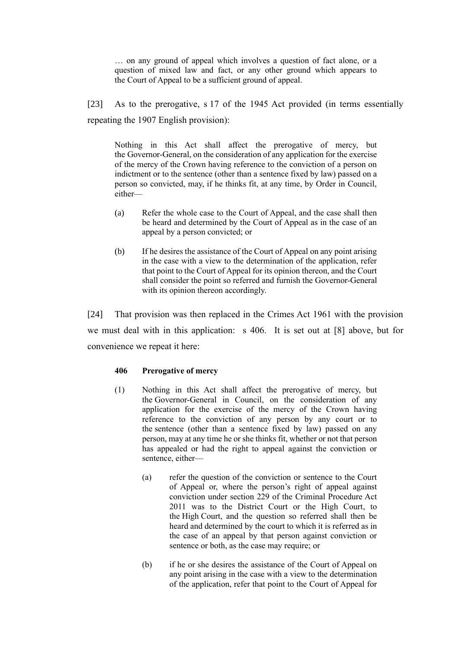… on any ground of appeal which involves a question of fact alone, or a question of mixed law and fact, or any other ground which appears to the Court of Appeal to be a sufficient ground of appeal.

<span id="page-7-0"></span>[23] As to the prerogative, s 17 of the 1945 Act provided (in terms essentially repeating the 1907 English provision):

Nothing in this Act shall affect the prerogative of mercy, but the Governor-General, on the consideration of any application for the exercise of the mercy of the Crown having reference to the conviction of a person on indictment or to the sentence (other than a sentence fixed by law) passed on a person so convicted, may, if he thinks fit, at any time, by Order in Council, either—

- (a) Refer the whole case to the Court of Appeal, and the case shall then be heard and determined by the Court of Appeal as in the case of an appeal by a person convicted; or
- (b) If he desires the assistance of the Court of Appeal on any point arising in the case with a view to the determination of the application, refer that point to the Court of Appeal for its opinion thereon, and the Court shall consider the point so referred and furnish the Governor-General with its opinion thereon accordingly.

<span id="page-7-1"></span>[24] That provision was then replaced in the Crimes Act 1961 with the provision we must deal with in this application: s 406. It is set out at [8] above, but for convenience we repeat it here:

#### **406 Prerogative of mercy**

- (1) Nothing in this Act shall affect the prerogative of mercy, but the Governor-General in Council, on the consideration of any application for the exercise of the mercy of the Crown having reference to the conviction of any person by any court or to the sentence (other than a sentence fixed by law) passed on any person, may at any time he or she thinks fit, whether or not that person has appealed or had the right to appeal against the conviction or sentence, either—
	- (a) refer the question of the conviction or sentence to the Court of Appeal or, where the person's right of appeal against conviction under section 229 of the Criminal Procedure Act 2011 was to the District Court or the High Court, to the High Court, and the question so referred shall then be heard and determined by the court to which it is referred as in the case of an appeal by that person against conviction or sentence or both, as the case may require; or
	- (b) if he or she desires the assistance of the Court of Appeal on any point arising in the case with a view to the determination of the application, refer that point to the Court of Appeal for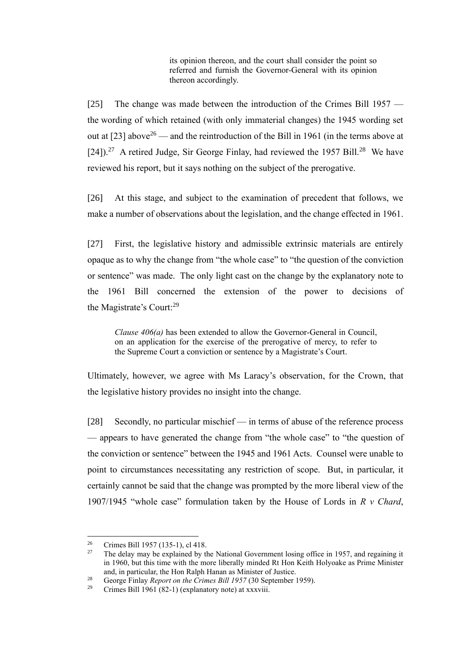its opinion thereon, and the court shall consider the point so referred and furnish the Governor-General with its opinion thereon accordingly.

[25] The change was made between the introduction of the Crimes Bill 1957 the wording of which retained (with only immaterial changes) the 1945 wording set out at [\[23\]](#page-7-0) above<sup>26</sup> — and the reintroduction of the Bill in 1961 (in the terms above at  $[24]$ ).<sup>27</sup> A retired Judge, Sir George Finlay, had reviewed the 1957 Bill.<sup>28</sup> We have reviewed his report, but it says nothing on the subject of the prerogative.

[26] At this stage, and subject to the examination of precedent that follows, we make a number of observations about the legislation, and the change effected in 1961.

[27] First, the legislative history and admissible extrinsic materials are entirely opaque as to why the change from "the whole case" to "the question of the conviction or sentence" was made. The only light cast on the change by the explanatory note to the 1961 Bill concerned the extension of the power to decisions of the Magistrate's Court:<sup>29</sup>

*Clause 406(a)* has been extended to allow the Governor-General in Council, on an application for the exercise of the prerogative of mercy, to refer to the Supreme Court a conviction or sentence by a Magistrate's Court.

Ultimately, however, we agree with Ms Laracy's observation, for the Crown, that the legislative history provides no insight into the change.

[28] Secondly, no particular mischief — in terms of abuse of the reference process — appears to have generated the change from "the whole case" to "the question of the conviction or sentence" between the 1945 and 1961 Acts. Counsel were unable to point to circumstances necessitating any restriction of scope. But, in particular, it certainly cannot be said that the change was prompted by the more liberal view of the 1907/1945 "whole case" formulation taken by the House of Lords in *R v Chard*,

<sup>&</sup>lt;sup>26</sup> Crimes Bill 1957 (135-1), cl 418.<br><sup>27</sup> The delay may be explained by the

<sup>27</sup> The delay may be explained by the National Government losing office in 1957, and regaining it in 1960, but this time with the more liberally minded Rt Hon Keith Holyoake as Prime Minister and, in particular, the Hon Ralph Hanan as Minister of Justice.

<sup>28</sup> George Finlay *Report on the Crimes Bill 1957* (30 September 1959).

<sup>&</sup>lt;sup>29</sup> Crimes Bill 1961 (82-1) (explanatory note) at xxxviii.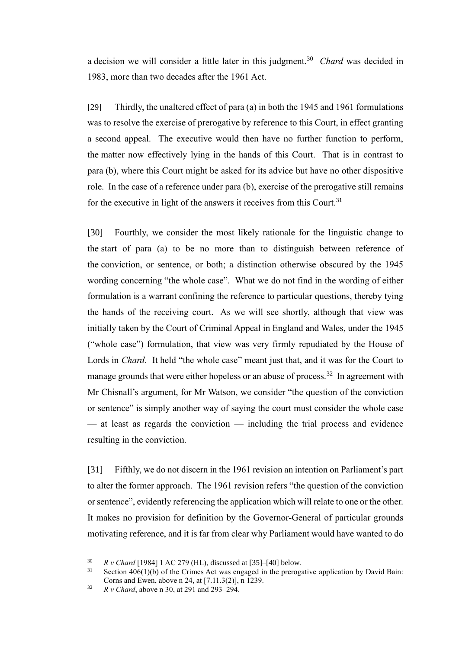<span id="page-9-0"></span>a decision we will consider a little later in this judgment.<sup>30</sup> *Chard* was decided in 1983, more than two decades after the 1961 Act.

[29] Thirdly, the unaltered effect of para (a) in both the 1945 and 1961 formulations was to resolve the exercise of prerogative by reference to this Court, in effect granting a second appeal. The executive would then have no further function to perform, the matter now effectively lying in the hands of this Court. That is in contrast to para (b), where this Court might be asked for its advice but have no other dispositive role. In the case of a reference under para (b), exercise of the prerogative still remains for the executive in light of the answers it receives from this Court.<sup>31</sup>

[30] Fourthly, we consider the most likely rationale for the linguistic change to the start of para (a) to be no more than to distinguish between reference of the conviction, or sentence, or both; a distinction otherwise obscured by the 1945 wording concerning "the whole case". What we do not find in the wording of either formulation is a warrant confining the reference to particular questions, thereby tying the hands of the receiving court. As we will see shortly, although that view was initially taken by the Court of Criminal Appeal in England and Wales, under the 1945 ("whole case") formulation, that view was very firmly repudiated by the House of Lords in *Chard*. It held "the whole case" meant just that, and it was for the Court to manage grounds that were either hopeless or an abuse of process.<sup>32</sup> In agreement with Mr Chisnall's argument, for Mr Watson, we consider "the question of the conviction or sentence" is simply another way of saying the court must consider the whole case — at least as regards the conviction — including the trial process and evidence resulting in the conviction.

[31] Fifthly, we do not discern in the 1961 revision an intention on Parliament's part to alter the former approach. The 1961 revision refers "the question of the conviction or sentence", evidently referencing the application which will relate to one or the other. It makes no provision for definition by the Governor-General of particular grounds motivating reference, and it is far from clear why Parliament would have wanted to do

<sup>30</sup> *R v Chard* [1984] 1 AC 279 (HL), discussed at [\[35\]](#page-11-1)[–\[40\]](#page-13-0) below.

 $31$  Section 406(1)(b) of the Crimes Act was engaged in the prerogative application by David Bain: Corns and Ewen, above [n 24,](#page-6-0) at [7.11.3(2)], n 1239.

<sup>32</sup> *R v Chard*, above n [30,](#page-9-0) at 291 and 293–294.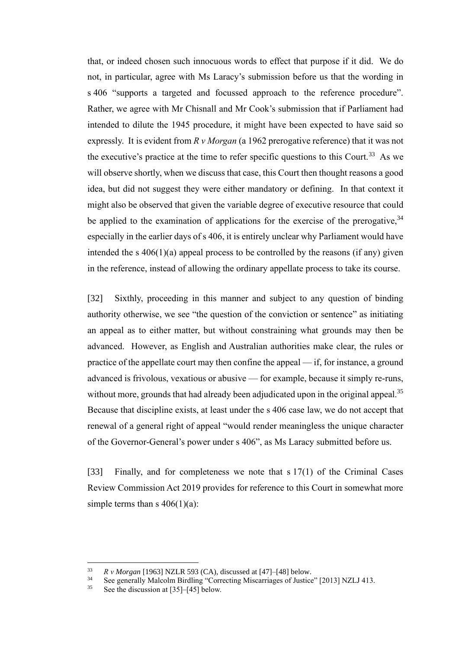<span id="page-10-0"></span>that, or indeed chosen such innocuous words to effect that purpose if it did. We do not, in particular, agree with Ms Laracy's submission before us that the wording in s 406 "supports a targeted and focussed approach to the reference procedure". Rather, we agree with Mr Chisnall and Mr Cook's submission that if Parliament had intended to dilute the 1945 procedure, it might have been expected to have said so expressly. It is evident from *R v Morgan* (a 1962 prerogative reference) that it was not the executive's practice at the time to refer specific questions to this Court.<sup>33</sup> As we will observe shortly, when we discuss that case, this Court then thought reasons a good idea, but did not suggest they were either mandatory or defining. In that context it might also be observed that given the variable degree of executive resource that could be applied to the examination of applications for the exercise of the prerogative,  $34$ especially in the earlier days of s 406, it is entirely unclear why Parliament would have intended the s  $406(1)(a)$  appeal process to be controlled by the reasons (if any) given in the reference, instead of allowing the ordinary appellate process to take its course.

[32] Sixthly, proceeding in this manner and subject to any question of binding authority otherwise, we see "the question of the conviction or sentence" as initiating an appeal as to either matter, but without constraining what grounds may then be advanced. However, as English and Australian authorities make clear, the rules or practice of the appellate court may then confine the appeal — if, for instance, a ground advanced is frivolous, vexatious or abusive — for example, because it simply re-runs, without more, grounds that had already been adjudicated upon in the original appeal.<sup>35</sup> Because that discipline exists, at least under the s 406 case law, we do not accept that renewal of a general right of appeal "would render meaningless the unique character of the Governor-General's power under s 406", as Ms Laracy submitted before us.

[33] Finally, and for completeness we note that s 17(1) of the Criminal Cases Review Commission Act 2019 provides for reference to this Court in somewhat more simple terms than s  $406(1)(a)$ :

<sup>33</sup> *R v Morgan* [1963] NZLR 593 (CA), discussed at [47]–[48] below.

See generally Malcolm Birdling "Correcting Miscarriages of Justice" [2013] NZLJ 413.

<sup>35</sup> See the discussion at [35]–[45] below.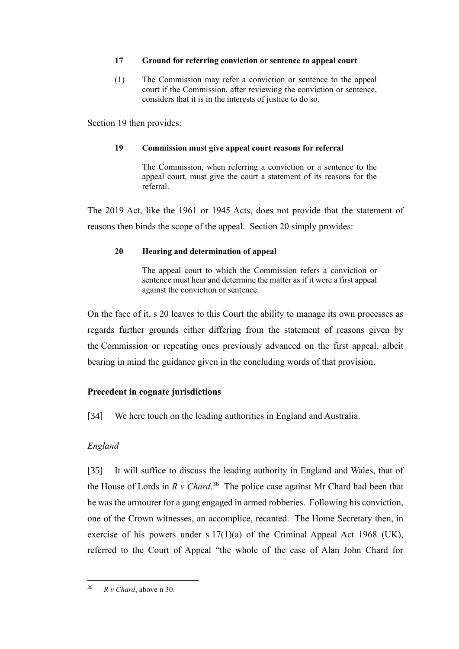### **17 Ground for referring conviction or sentence to appeal court**

(1) The Commission may refer a conviction or sentence to the appeal court if the Commission, after reviewing the conviction or sentence, considers that it is in the interests of justice to do so.

Section 19 then provides:

### **19 Commission must give appeal court reasons for referral**

The Commission, when referring a conviction or a sentence to the appeal court, must give the court a statement of its reasons for the referral.

The 2019 Act, like the 1961 or 1945 Acts, does not provide that the statement of reasons then binds the scope of the appeal. Section 20 simply provides:

### **20 Hearing and determination of appeal**

The appeal court to which the Commission refers a conviction or sentence must hear and determine the matter as if it were a first appeal against the conviction or sentence.

On the face of it, s 20 leaves to this Court the ability to manage its own processes as regards further grounds either differing from the statement of reasons given by the Commission or repeating ones previously advanced on the first appeal, albeit bearing in mind the guidance given in the concluding words of that provision.

# **Precedent in cognate jurisdictions**

<span id="page-11-0"></span>[34] We here touch on the leading authorities in England and Australia.

# *England*

<span id="page-11-1"></span>[35] It will suffice to discuss the leading authority in England and Wales, that of the House of Lords in  $R$   $\nu$  *Chard*.<sup>36</sup> The police case against Mr Chard had been that he was the armourer for a gang engaged in armed robberies. Following his conviction, one of the Crown witnesses, an accomplice, recanted. The Home Secretary then, in exercise of his powers under s  $17(1)(a)$  of the Criminal Appeal Act 1968 (UK), referred to the Court of Appeal "the whole of the case of Alan John Chard for

 $36$  *R v Chard*, above n [30.](#page-9-0)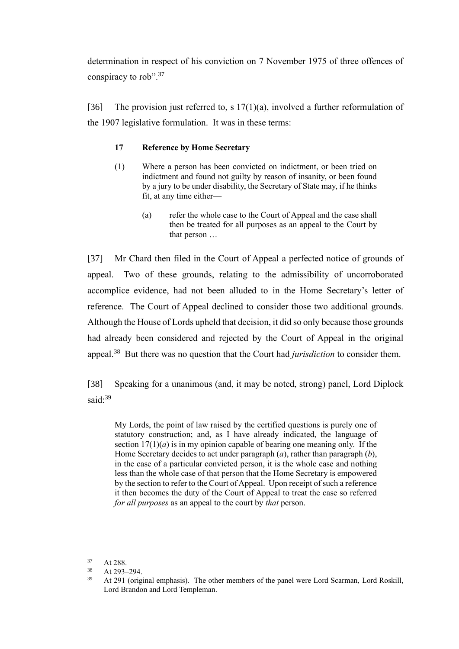determination in respect of his conviction on 7 November 1975 of three offences of conspiracy to rob".<sup>37</sup>

[36] The provision just referred to, s  $17(1)(a)$ , involved a further reformulation of the 1907 legislative formulation. It was in these terms:

### **17 Reference by Home Secretary**

- (1) Where a person has been convicted on indictment, or been tried on indictment and found not guilty by reason of insanity, or been found by a jury to be under disability, the Secretary of State may, if he thinks fit, at any time either—
	- (a) refer the whole case to the Court of Appeal and the case shall then be treated for all purposes as an appeal to the Court by that person …

[37] Mr Chard then filed in the Court of Appeal a perfected notice of grounds of appeal. Two of these grounds, relating to the admissibility of uncorroborated accomplice evidence, had not been alluded to in the Home Secretary's letter of reference. The Court of Appeal declined to consider those two additional grounds. Although the House of Lords upheld that decision, it did so only because those grounds had already been considered and rejected by the Court of Appeal in the original appeal.<sup>38</sup> But there was no question that the Court had *jurisdiction* to consider them.

[38] Speaking for a unanimous (and, it may be noted, strong) panel, Lord Diplock said:<sup>39</sup>

My Lords, the point of law raised by the certified questions is purely one of statutory construction; and, as I have already indicated, the language of section  $17(1)(a)$  is in my opinion capable of bearing one meaning only. If the Home Secretary decides to act under paragraph (*a*), rather than paragraph (*b*), in the case of a particular convicted person, it is the whole case and nothing less than the whole case of that person that the Home Secretary is empowered by the section to refer to the Court of Appeal. Upon receipt of such a reference it then becomes the duty of the Court of Appeal to treat the case so referred *for all purposes* as an appeal to the court by *that* person.

 $37$  At 288.

 $38$  At 293–294.

<sup>39</sup> At 291 (original emphasis). The other members of the panel were Lord Scarman, Lord Roskill, Lord Brandon and Lord Templeman.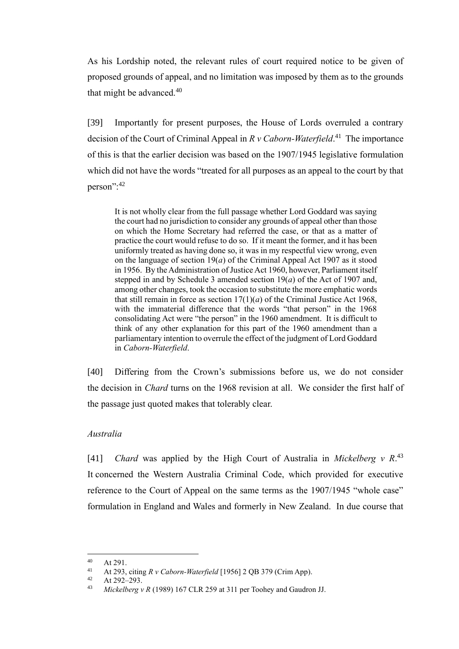As his Lordship noted, the relevant rules of court required notice to be given of proposed grounds of appeal, and no limitation was imposed by them as to the grounds that might be advanced.<sup>40</sup>

[39] Importantly for present purposes, the House of Lords overruled a contrary decision of the Court of Criminal Appeal in *R v Caborn-Waterfield*. 41 The importance of this is that the earlier decision was based on the 1907/1945 legislative formulation which did not have the words "treated for all purposes as an appeal to the court by that person":<sup>42</sup>

It is not wholly clear from the full passage whether Lord Goddard was saying the court had no jurisdiction to consider any grounds of appeal other than those on which the Home Secretary had referred the case, or that as a matter of practice the court would refuse to do so. If it meant the former, and it has been uniformly treated as having done so, it was in my respectful view wrong, even on the language of section 19(*a*) of the Criminal Appeal Act 1907 as it stood in 1956. By the Administration of Justice Act 1960, however, Parliament itself stepped in and by Schedule 3 amended section 19(*a*) of the Act of 1907 and, among other changes, took the occasion to substitute the more emphatic words that still remain in force as section  $17(1)(a)$  of the Criminal Justice Act 1968, with the immaterial difference that the words "that person" in the 1968 consolidating Act were "the person" in the 1960 amendment. It is difficult to think of any other explanation for this part of the 1960 amendment than a parliamentary intention to overrule the effect of the judgment of Lord Goddard in *Caborn-Waterfield*.

<span id="page-13-0"></span>[40] Differing from the Crown's submissions before us, we do not consider the decision in *Chard* turns on the 1968 revision at all. We consider the first half of the passage just quoted makes that tolerably clear.

#### *Australia*

[41] *Chard* was applied by the High Court of Australia in *Mickelberg v R*. 43 It concerned the Western Australia Criminal Code, which provided for executive reference to the Court of Appeal on the same terms as the 1907/1945 "whole case" formulation in England and Wales and formerly in New Zealand. In due course that

 $40$  At 291.

<sup>41</sup> At 293, citing *R v Caborn-Waterfield* [1956] 2 QB 379 (Crim App).

At 292-293.

<sup>43</sup> *Mickelberg v R* (1989) 167 CLR 259 at 311 per Toohey and Gaudron JJ.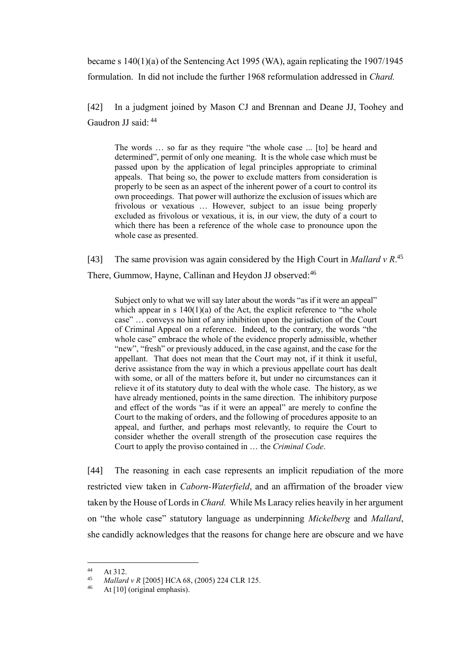became s 140(1)(a) of the Sentencing Act 1995 (WA), again replicating the 1907/1945 formulation. In did not include the further 1968 reformulation addressed in *Chard.* 

[42] In a judgment joined by Mason CJ and Brennan and Deane JJ, Toohey and Gaudron JJ said: <sup>44</sup>

The words … so far as they require "the whole case ... [to] be heard and determined", permit of only one meaning. It is the whole case which must be passed upon by the application of legal principles appropriate to criminal appeals. That being so, the power to exclude matters from consideration is properly to be seen as an aspect of the inherent power of a court to control its own proceedings. That power will authorize the exclusion of issues which are frivolous or vexatious … However, subject to an issue being properly excluded as frivolous or vexatious, it is, in our view, the duty of a court to which there has been a reference of the whole case to pronounce upon the whole case as presented.

[43] The same provision was again considered by the High Court in *Mallard v R*. 45

There, Gummow, Hayne, Callinan and Heydon JJ observed:<sup>46</sup>

Subject only to what we will say later about the words "as if it were an appeal" which appear in s  $140(1)(a)$  of the Act, the explicit reference to "the whole case" … conveys no hint of any inhibition upon the jurisdiction of the Court of Criminal Appeal on a reference. Indeed, to the contrary, the words "the whole case" embrace the whole of the evidence properly admissible, whether "new", "fresh" or previously adduced, in the case against, and the case for the appellant. That does not mean that the Court may not, if it think it useful, derive assistance from the way in which a previous appellate court has dealt with some, or all of the matters before it, but under no circumstances can it relieve it of its statutory duty to deal with the whole case. The history, as we have already mentioned, points in the same direction. The inhibitory purpose and effect of the words "as if it were an appeal" are merely to confine the Court to the making of orders, and the following of procedures apposite to an appeal, and further, and perhaps most relevantly, to require the Court to consider whether the overall strength of the prosecution case requires the Court to apply the proviso contained in … the *Criminal Code*.

[44] The reasoning in each case represents an implicit repudiation of the more restricted view taken in *Caborn-Waterfield*, and an affirmation of the broader view taken by the House of Lords in *Chard.* While Ms Laracy relies heavily in her argument on "the whole case" statutory language as underpinning *Mickelberg* and *Mallard*, she candidly acknowledges that the reasons for change here are obscure and we have

 $44$  At 312.

<sup>45</sup> *Mallard v R* [2005] HCA 68, (2005) 224 CLR 125.

At  $[10]$  (original emphasis).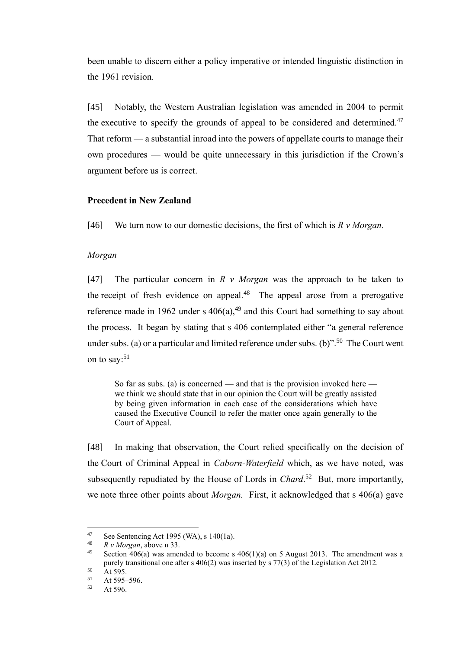been unable to discern either a policy imperative or intended linguistic distinction in the 1961 revision.

[45] Notably, the Western Australian legislation was amended in 2004 to permit the executive to specify the grounds of appeal to be considered and determined. $47$ That reform — a substantial inroad into the powers of appellate courts to manage their own procedures — would be quite unnecessary in this jurisdiction if the Crown's argument before us is correct.

### **Precedent in New Zealand**

<span id="page-15-0"></span>[46] We turn now to our domestic decisions, the first of which is *R v Morgan*.

#### *Morgan*

[47] The particular concern in *R v Morgan* was the approach to be taken to the receipt of fresh evidence on appeal. $48$  The appeal arose from a prerogative reference made in 1962 under s  $406(a)$ ,  $49$  and this Court had something to say about the process. It began by stating that s 406 contemplated either "a general reference under subs. (a) or a particular and limited reference under subs. (b)".<sup>50</sup> The Court went on to say: $51$ 

So far as subs. (a) is concerned — and that is the provision invoked here we think we should state that in our opinion the Court will be greatly assisted by being given information in each case of the considerations which have caused the Executive Council to refer the matter once again generally to the Court of Appeal.

[48] In making that observation, the Court relied specifically on the decision of the Court of Criminal Appeal in *Caborn-Waterfield* which, as we have noted, was subsequently repudiated by the House of Lords in *Chard*.<sup>52</sup> But, more importantly, we note three other points about *Morgan.* First, it acknowledged that s 406(a) gave

<sup>&</sup>lt;sup>47</sup> See Sentencing Act 1995 (WA), s 140(1a).

 $\frac{48}{49}$  *R v Morgan*, above n [33.](#page-10-0)

Section  $\overline{406(a)}$  was amended to become s  $\overline{406(1)(a)}$  on 5 August 2013. The amendment was a purely transitional one after s 406(2) was inserted by s 77(3) of the Legislation Act 2012.

 $50$  At 595.

 $51$  At 595–596.<br>  $52$  At 506

At  $596.$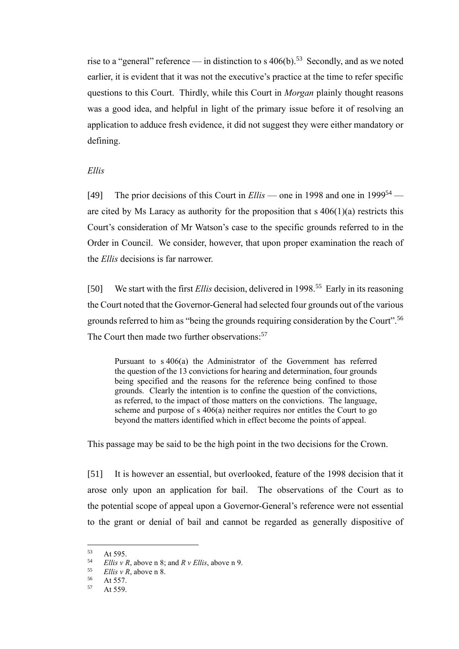rise to a "general" reference — in distinction to s  $406(b)$ .<sup>53</sup> Secondly, and as we noted earlier, it is evident that it was not the executive's practice at the time to refer specific questions to this Court. Thirdly, while this Court in *Morgan* plainly thought reasons was a good idea, and helpful in light of the primary issue before it of resolving an application to adduce fresh evidence, it did not suggest they were either mandatory or defining.

#### *Ellis*

[49] The prior decisions of this Court in *Ellis* — one in 1998 and one in 1999<sup>54</sup> are cited by Ms Laracy as authority for the proposition that  $s \, 406(1)(a)$  restricts this Court's consideration of Mr Watson's case to the specific grounds referred to in the Order in Council. We consider, however, that upon proper examination the reach of the *Ellis* decisions is far narrower.

[50] We start with the first *Ellis* decision, delivered in 1998.<sup>55</sup> Early in its reasoning the Court noted that the Governor-General had selected four grounds out of the various grounds referred to him as "being the grounds requiring consideration by the Court".<sup>56</sup> The Court then made two further observations:<sup>57</sup>

Pursuant to s 406(a) the Administrator of the Government has referred the question of the 13 convictions for hearing and determination, four grounds being specified and the reasons for the reference being confined to those grounds. Clearly the intention is to confine the question of the convictions, as referred, to the impact of those matters on the convictions. The language, scheme and purpose of s 406(a) neither requires nor entitles the Court to go beyond the matters identified which in effect become the points of appeal.

This passage may be said to be the high point in the two decisions for the Crown.

[51] It is however an essential, but overlooked, feature of the 1998 decision that it arose only upon an application for bail. The observations of the Court as to the potential scope of appeal upon a Governor-General's reference were not essential to the grant or denial of bail and cannot be regarded as generally dispositive of

 $53$  At 595.

<sup>&</sup>lt;sup>54</sup> *Ellis v R*, above [n 8;](#page-4-2) and *R v Ellis*, above n [9.](#page-4-3)<br> $\frac{55}{2}$  *Ellis v R*, above n 8

 $\frac{55}{56}$  *Ellis v R*, above [n 8.](#page-4-2)

 $56$  At 557.<br> $57$  At 550.

At 559.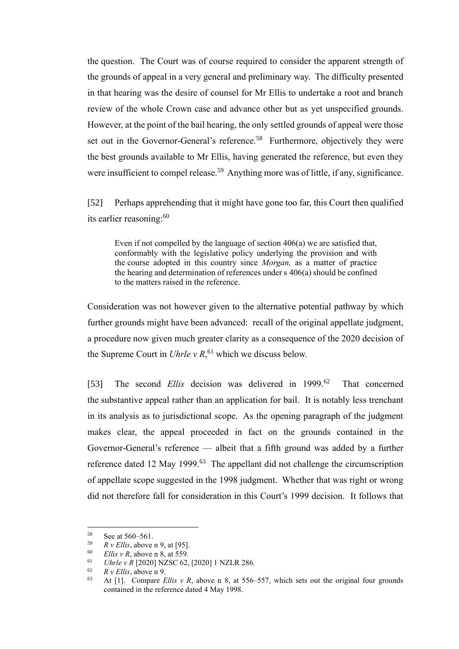the question. The Court was of course required to consider the apparent strength of the grounds of appeal in a very general and preliminary way. The difficulty presented in that hearing was the desire of counsel for Mr Ellis to undertake a root and branch review of the whole Crown case and advance other but as yet unspecified grounds. However, at the point of the bail hearing, the only settled grounds of appeal were those set out in the Governor-General's reference.<sup>58</sup> Furthermore, objectively they were the best grounds available to Mr Ellis, having generated the reference, but even they were insufficient to compel release.<sup>59</sup> Anything more was of little, if any, significance.

<span id="page-17-0"></span>[52] Perhaps apprehending that it might have gone too far, this Court then qualified its earlier reasoning: 60

Even if not compelled by the language of section 406(a) we are satisfied that, conformably with the legislative policy underlying the provision and with the course adopted in this country since *Morgan,* as a matter of practice the hearing and determination of references under s 406(a) should be confined to the matters raised in the reference.

Consideration was not however given to the alternative potential pathway by which further grounds might have been advanced: recall of the original appellate judgment, a procedure now given much greater clarity as a consequence of the 2020 decision of the Supreme Court in *Uhrle v R*, <sup>61</sup> which we discuss below.

<span id="page-17-1"></span>[53] The second *Ellis* decision was delivered in 1999.<sup>62</sup> That concerned the substantive appeal rather than an application for bail. It is notably less trenchant in its analysis as to jurisdictional scope. As the opening paragraph of the judgment makes clear, the appeal proceeded in fact on the grounds contained in the Governor-General's reference — albeit that a fifth ground was added by a further reference dated 12 May 1999.<sup>63</sup> The appellant did not challenge the circumscription of appellate scope suggested in the 1998 judgment. Whether that was right or wrong did not therefore fall for consideration in this Court's 1999 decision. It follows that

 $58$  See at 560–561.<br> $59$  R y Ellis above

 $59$  *R v Ellis*, above [n 9,](#page-4-3) at [95].<br> $50$  *Ellis y P* above n 8, at 550.

*Ellis v R*, above [n 8,](#page-4-2) at 559.

<sup>61</sup> *Uhrle v R* [2020] NZSC 62, [2020] 1 NZLR 286.

 $R \text{ } v$  *Ellis*, above [n 9.](#page-4-3)<br>  $\Delta t$  [11 Compare *F* 

At [1]. Compare *Ellis v R*, above n [8,](#page-4-2) at 556–557, which sets out the original four grounds contained in the reference dated 4 May 1998.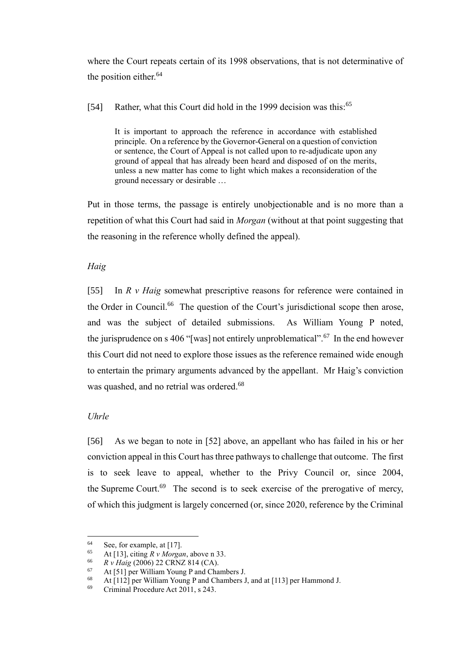where the Court repeats certain of its 1998 observations, that is not determinative of the position either.<sup>64</sup>

[54] Rather, what this Court did hold in the 1999 decision was this:<sup>65</sup>

It is important to approach the reference in accordance with established principle. On a reference by the Governor-General on a question of conviction or sentence, the Court of Appeal is not called upon to re-adjudicate upon any ground of appeal that has already been heard and disposed of on the merits, unless a new matter has come to light which makes a reconsideration of the ground necessary or desirable …

Put in those terms, the passage is entirely unobjectionable and is no more than a repetition of what this Court had said in *Morgan* (without at that point suggesting that the reasoning in the reference wholly defined the appeal).

# *Haig*

[55] In *R v Haig* somewhat prescriptive reasons for reference were contained in the Order in Council.<sup>66</sup> The question of the Court's jurisdictional scope then arose, and was the subject of detailed submissions. As William Young P noted, the jurisprudence on s 406 "[was] not entirely unproblematical".<sup>67</sup> In the end however this Court did not need to explore those issues as the reference remained wide enough to entertain the primary arguments advanced by the appellant. Mr Haig's conviction was quashed, and no retrial was ordered.<sup>68</sup>

# *Uhrle*

[56] As we began to note in [\[52\]](#page-17-0) above, an appellant who has failed in his or her conviction appeal in this Court has three pathways to challenge that outcome. The first is to seek leave to appeal, whether to the Privy Council or, since 2004, the Supreme Court. $69$  The second is to seek exercise of the prerogative of mercy, of which this judgment is largely concerned (or, since 2020, reference by the Criminal

<sup>&</sup>lt;sup>64</sup> See, for example, at [17].

At [13], citing  $R v$  *Morgan*, above [n 33.](#page-10-0)

<sup>66</sup> *R v Haig* (2006) 22 CRNZ 814 (CA).

 $67$  At [51] per William Young P and Chambers J.<br> $68$  At [112] per William Young P and Chambers 1

At [112] per William Young P and Chambers J, and at [113] per Hammond J.

<sup>69</sup> Criminal Procedure Act 2011, s 243.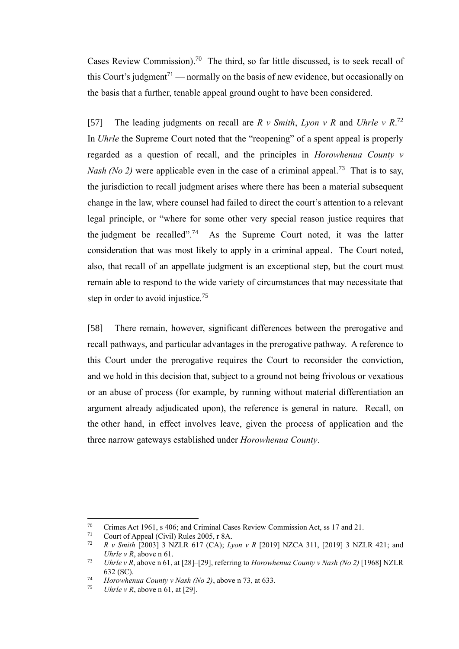Cases Review Commission).<sup>70</sup> The third, so far little discussed, is to seek recall of this Court's judgment<sup>71</sup> — normally on the basis of new evidence, but occasionally on the basis that a further, tenable appeal ground ought to have been considered.

<span id="page-19-0"></span>[57] The leading judgments on recall are *R v Smith*, *Lyon v R* and *Uhrle v R*. 72 In *Uhrle* the Supreme Court noted that the "reopening" of a spent appeal is properly regarded as a question of recall, and the principles in *Horowhenua County v Nash (No 2)* were applicable even in the case of a criminal appeal.<sup>73</sup> That is to say, the jurisdiction to recall judgment arises where there has been a material subsequent change in the law, where counsel had failed to direct the court's attention to a relevant legal principle, or "where for some other very special reason justice requires that the judgment be recalled".<sup>74</sup> As the Supreme Court noted, it was the latter consideration that was most likely to apply in a criminal appeal. The Court noted, also, that recall of an appellate judgment is an exceptional step, but the court must remain able to respond to the wide variety of circumstances that may necessitate that step in order to avoid injustice.<sup>75</sup>

[58] There remain, however, significant differences between the prerogative and recall pathways, and particular advantages in the prerogative pathway. A reference to this Court under the prerogative requires the Court to reconsider the conviction, and we hold in this decision that, subject to a ground not being frivolous or vexatious or an abuse of process (for example, by running without material differentiation an argument already adjudicated upon), the reference is general in nature. Recall, on the other hand, in effect involves leave, given the process of application and the three narrow gateways established under *Horowhenua County*.

<sup>&</sup>lt;sup>70</sup> Crimes Act 1961, s 406; and Criminal Cases Review Commission Act, ss 17 and 21.<br><sup>71</sup> Court of Anneal (Civil) Pulse 2005  $\pm$  8A

<sup>&</sup>lt;sup>71</sup> Court of Appeal (Civil) Rules 2005, r 8A.<br><sup>72</sup> P.v. Smith [2003] 3 NZI P 617 (CA): *I* 

<sup>72</sup> *R v Smith* [2003] 3 NZLR 617 (CA); *Lyon v R* [2019] NZCA 311, [2019] 3 NZLR 421; and *Uhrle v R*, above n [61.](#page-17-1)

<sup>73</sup> *Uhrle v R*, above [n 61,](#page-17-1) at [28]–[29], referring to *Horowhenua County v Nash (No 2)* [1968] NZLR 632 (SC).

<sup>74</sup> *Horowhenua County v Nash (No 2)*, above n [73,](#page-19-0) at 633.

*Uhrle v R*, above n [61,](#page-17-1) at [29].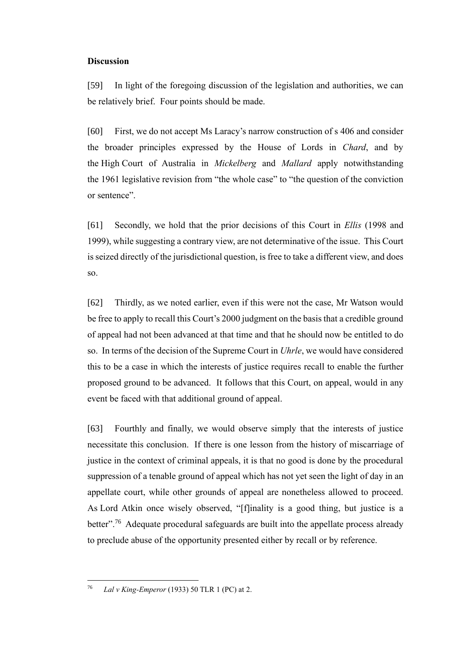#### **Discussion**

<span id="page-20-0"></span>[59] In light of the foregoing discussion of the legislation and authorities, we can be relatively brief. Four points should be made.

[60] First, we do not accept Ms Laracy's narrow construction of s 406 and consider the broader principles expressed by the House of Lords in *Chard*, and by the High Court of Australia in *Mickelberg* and *Mallard* apply notwithstanding the 1961 legislative revision from "the whole case" to "the question of the conviction or sentence".

[61] Secondly, we hold that the prior decisions of this Court in *Ellis* (1998 and 1999), while suggesting a contrary view, are not determinative of the issue. This Court is seized directly of the jurisdictional question, is free to take a different view, and does so.

[62] Thirdly, as we noted earlier, even if this were not the case, Mr Watson would be free to apply to recall this Court's 2000 judgment on the basis that a credible ground of appeal had not been advanced at that time and that he should now be entitled to do so. In terms of the decision of the Supreme Court in *Uhrle*, we would have considered this to be a case in which the interests of justice requires recall to enable the further proposed ground to be advanced. It follows that this Court, on appeal, would in any event be faced with that additional ground of appeal.

[63] Fourthly and finally, we would observe simply that the interests of justice necessitate this conclusion. If there is one lesson from the history of miscarriage of justice in the context of criminal appeals, it is that no good is done by the procedural suppression of a tenable ground of appeal which has not yet seen the light of day in an appellate court, while other grounds of appeal are nonetheless allowed to proceed. As Lord Atkin once wisely observed, "[f]inality is a good thing, but justice is a better".<sup>76</sup> Adequate procedural safeguards are built into the appellate process already to preclude abuse of the opportunity presented either by recall or by reference.

<sup>76</sup> *Lal v King-Emperor* (1933) 50 TLR 1 (PC) at 2.